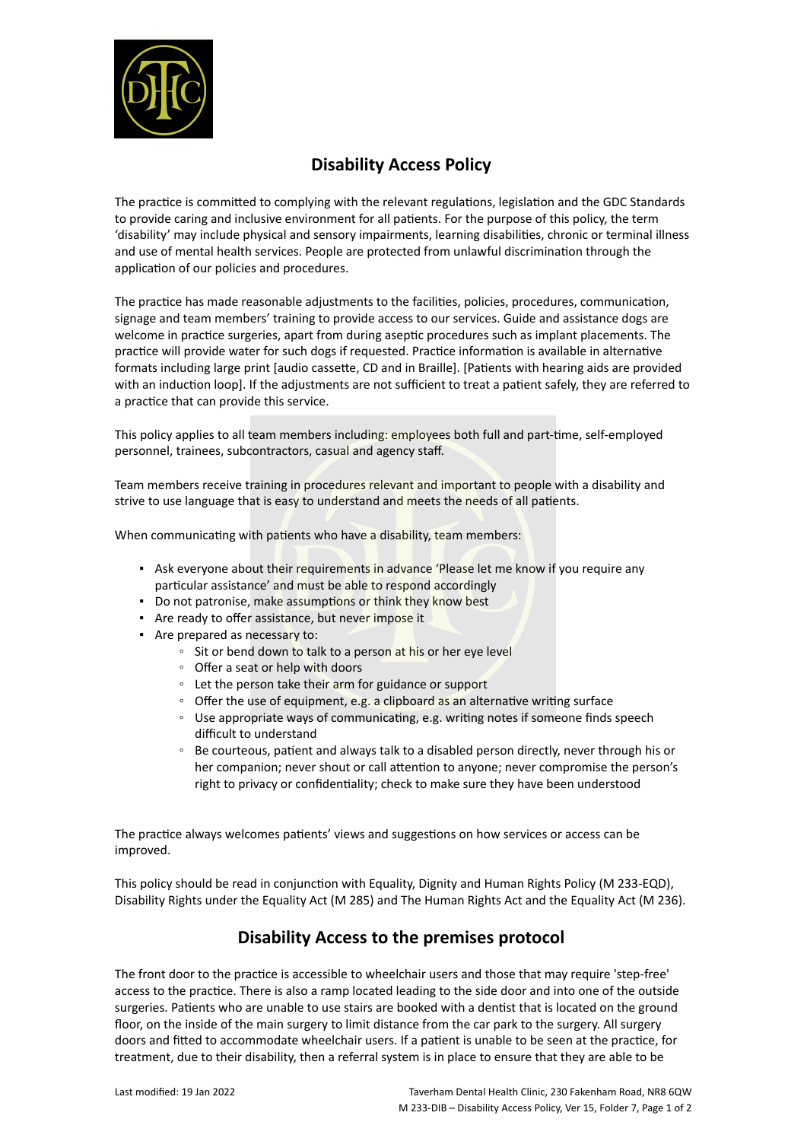

## **Disability Access Policy**

The practice is committed to complying with the relevant regulations, legislation and the GDC Standards to provide caring and inclusive environment for all patients. For the purpose of this policy, the term 'disability' may include physical and sensory impairments, learning disabilities, chronic or terminal illness and use of mental health services. People are protected from unlawful discrimination through the application of our policies and procedures.

The practice has made reasonable adjustments to the facilities, policies, procedures, communication, signage and team members' training to provide access to our services. Guide and assistance dogs are welcome in practice surgeries, apart from during aseptic procedures such as implant placements. The practice will provide water for such dogs if requested. Practice information is available in alternative formats including large print [audio cassette, CD and in Braille]. [Patients with hearing aids are provided with an induction loop]. If the adjustments are not sufficient to treat a patient safely, they are referred to a practice that can provide this service.

This policy applies to all team members including: employees both full and part-time, self-employed personnel, trainees, subcontractors, casual and agency staff.

Team members receive training in procedures relevant and important to people with a disability and strive to use language that is easy to understand and meets the needs of all patients.

When communicating with patients who have a disability, team members:

- **•** Ask everyone about their requirements in advance 'Please let me know if you require any particular assistance' and must be able to respond accordingly
- Do not patronise, make assumptions or think they know best
- **EXEC** Are ready to offer assistance, but never impose it
- **EXECUTE:** Are prepared as necessary to:
	- Sit or bend down to talk to a person at his or her eye level
	- Offer a seat or help with doors
	- Let the person take their arm for guidance or support
	- Offer the use of equipment, e.g. a clipboard as an alternative writing surface
	- Use appropriate ways of communicating, e.g. writing notes if someone finds speech difficult to understand
	- Be courteous, patient and always talk to a disabled person directly, never through his or her companion; never shout or call attention to anyone; never compromise the person's right to privacy or confidentiality; check to make sure they have been understood

The practice always welcomes patients' views and suggestions on how services or access can be improved.

This policy should be read in conjunction with Equality, Dignity and Human Rights Policy (M 233-EQD), Disability Rights under the Equality Act (M 285) and The Human Rights Act and the Equality Act (M 236).

## **Disability Access to the premises protocol**

The front door to the practice is accessible to wheelchair users and those that may require 'step-free' access to the practice. There is also a ramp located leading to the side door and into one of the outside surgeries. Patients who are unable to use stairs are booked with a dentist that is located on the ground floor, on the inside of the main surgery to limit distance from the car park to the surgery. All surgery doors and fitted to accommodate wheelchair users. If a patient is unable to be seen at the practice, for treatment, due to their disability, then a referral system is in place to ensure that they are able to be